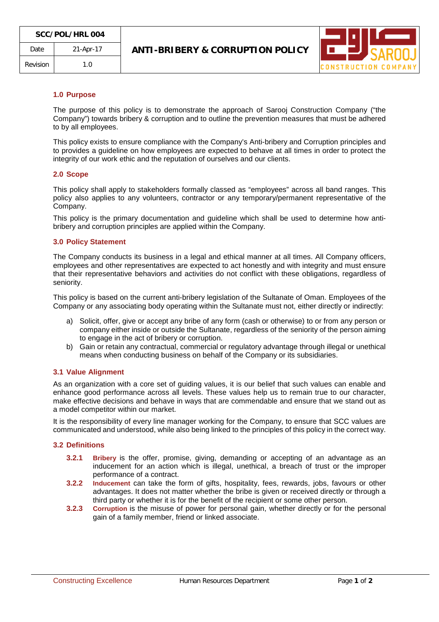

### **1.0 Purpose**

The purpose of this policy is to demonstrate the approach of Sarooj Construction Company ("the Company") towards bribery & corruption and to outline the prevention measures that must be adhered to by all employees.

This policy exists to ensure compliance with the Company's Anti-bribery and Corruption principles and to provides a guideline on how employees are expected to behave at all times in order to protect the integrity of our work ethic and the reputation of ourselves and our clients.

#### **2.0 Scope**

This policy shall apply to stakeholders formally classed as "employees" across all band ranges. This policy also applies to any volunteers, contractor or any temporary/permanent representative of the Company.

This policy is the primary documentation and guideline which shall be used to determine how antibribery and corruption principles are applied within the Company.

### **3.0 Policy Statement**

The Company conducts its business in a legal and ethical manner at all times. All Company officers, employees and other representatives are expected to act honestly and with integrity and must ensure that their representative behaviors and activities do not conflict with these obligations, regardless of seniority.

This policy is based on the current anti-bribery legislation of the Sultanate of Oman. Employees of the Company or any associating body operating within the Sultanate must not, either directly or indirectly:

- a) Solicit, offer, give or accept any bribe of any form (cash or otherwise) to or from any person or company either inside or outside the Sultanate, regardless of the seniority of the person aiming to engage in the act of bribery or corruption.
- b) Gain or retain any contractual, commercial or regulatory advantage through illegal or unethical means when conducting business on behalf of the Company or its subsidiaries.

## **3.1 Value Alignment**

As an organization with a core set of guiding values, it is our belief that such values can enable and enhance good performance across all levels. These values help us to remain true to our character, make effective decisions and behave in ways that are commendable and ensure that we stand out as a model competitor within our market.

It is the responsibility of every line manager working for the Company, to ensure that SCC values are communicated and understood, while also being linked to the principles of this policy in the correct way.

#### **3.2 Definitions**

- **3.2.1 Bribery** is the offer, promise, giving, demanding or accepting of an advantage as an inducement for an action which is illegal, unethical, a breach of trust or the improper performance of a contract.
- **3.2.2 Inducement** can take the form of gifts, hospitality, fees, rewards, jobs, favours or other advantages. It does not matter whether the bribe is given or received directly or through a third party or whether it is for the benefit of the recipient or some other person.
- **3.2.3 Corruption** is the misuse of power for personal gain, whether directly or for the personal gain of a family member, friend or linked associate.